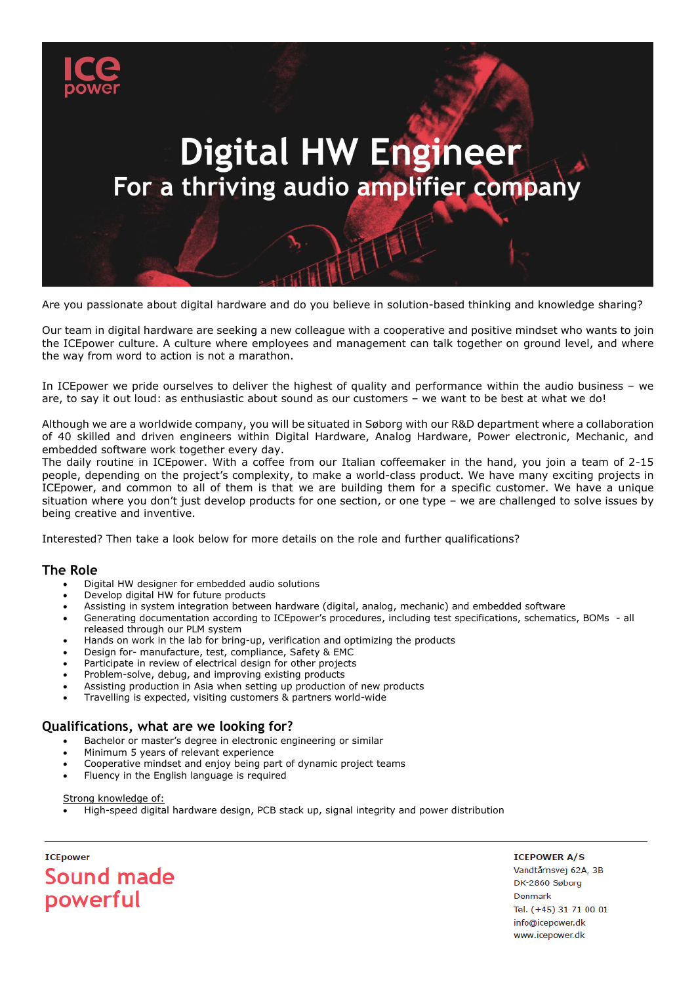

Are you passionate about digital hardware and do you believe in solution-based thinking and knowledge sharing?

Our team in digital hardware are seeking a new colleague with a cooperative and positive mindset who wants to join the ICEpower culture. A culture where employees and management can talk together on ground level, and where the way from word to action is not a marathon.

In ICEpower we pride ourselves to deliver the highest of quality and performance within the audio business – we are, to say it out loud: as enthusiastic about sound as our customers – we want to be best at what we do!

Although we are a worldwide company, you will be situated in Søborg with our R&D department where a collaboration of 40 skilled and driven engineers within Digital Hardware, Analog Hardware, Power electronic, Mechanic, and embedded software work together every day.

The daily routine in ICEpower. With a coffee from our Italian coffeemaker in the hand, you join a team of 2-15 people, depending on the project's complexity, to make a world-class product. We have many exciting projects in ICEpower, and common to all of them is that we are building them for a specific customer. We have a unique situation where you don't just develop products for one section, or one type – we are challenged to solve issues by being creative and inventive.

Interested? Then take a look below for more details on the role and further qualifications?

## **The Role**

- Digital HW designer for embedded audio solutions
- Develop digital HW for future products
- Assisting in system integration between hardware (digital, analog, mechanic) and embedded software
- Generating documentation according to ICEpower's procedures, including test specifications, schematics, BOMs all released through our PLM system
- Hands on work in the lab for bring-up, verification and optimizing the products
- Design for- manufacture, test, compliance, Safety & EMC
- Participate in review of electrical design for other projects
- Problem-solve, debug, and improving existing products
- Assisting production in Asia when setting up production of new products
- Travelling is expected, visiting customers & partners world-wide

# **Qualifications, what are we looking for?**

- Bachelor or master's degree in electronic engineering or similar
- Minimum 5 years of relevant experience
- Cooperative mindset and enjoy being part of dynamic project teams
- Fluency in the English language is required

Strong knowledge of:

• High-speed digital hardware design, PCB stack up, signal integrity and power distribution

**TCFnower** Sound made powerful

**ICEPOWER A/S** Vandtårnsvej 62A, 3B DK-2860 Søborg Denmark Tel. (+45) 31 71 00 01 info@icepower.dk www.icepower.dk